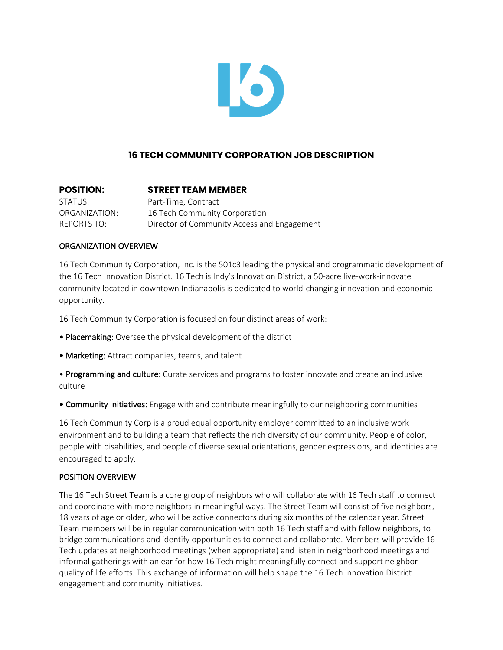

# **16 TECH COMMUNITY CORPORATION JOB DESCRIPTION**

| <b>POSITION:</b> | <b>STREET TEAM MEMBER</b>                   |
|------------------|---------------------------------------------|
| STATUS:          | Part-Time, Contract                         |
| ORGANIZATION:    | 16 Tech Community Corporation               |
| REPORTS TO:      | Director of Community Access and Engagement |

# ORGANIZATION OVERVIEW

16 Tech Community Corporation, Inc. is the 501c3 leading the physical and programmatic development of the 16 Tech Innovation District. 16 Tech is Indy's Innovation District, a 50-acre live-work-innovate community located in downtown Indianapolis is dedicated to world-changing innovation and economic opportunity.

16 Tech Community Corporation is focused on four distinct areas of work:

- Placemaking: Oversee the physical development of the district
- Marketing: Attract companies, teams, and talent

• Programming and culture: Curate services and programs to foster innovate and create an inclusive culture

• Community Initiatives: Engage with and contribute meaningfully to our neighboring communities

16 Tech Community Corp is a proud equal opportunity employer committed to an inclusive work environment and to building a team that reflects the rich diversity of our community. People of color, people with disabilities, and people of diverse sexual orientations, gender expressions, and identities are encouraged to apply.

# POSITION OVERVIEW

The 16 Tech Street Team is a core group of neighbors who will collaborate with 16 Tech staff to connect and coordinate with more neighbors in meaningful ways. The Street Team will consist of five neighbors, 18 years of age or older, who will be active connectors during six months of the calendar year. Street Team members will be in regular communication with both 16 Tech staff and with fellow neighbors, to bridge communications and identify opportunities to connect and collaborate. Members will provide 16 Tech updates at neighborhood meetings (when appropriate) and listen in neighborhood meetings and informal gatherings with an ear for how 16 Tech might meaningfully connect and support neighbor quality of life efforts. This exchange of information will help shape the 16 Tech Innovation District engagement and community initiatives.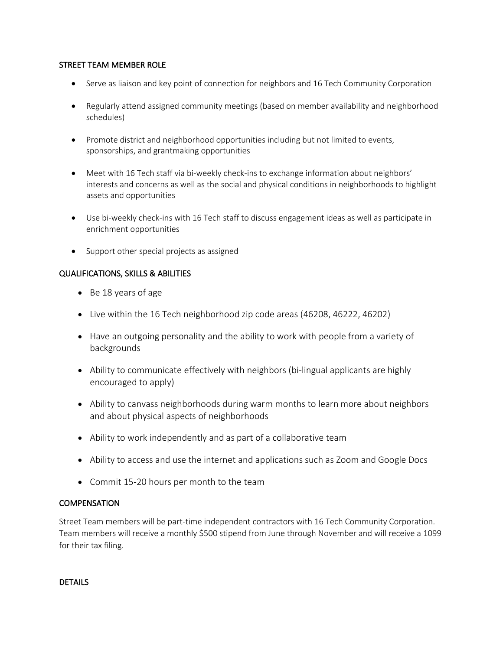# STREET TEAM MEMBER ROLE

- Serve as liaison and key point of connection for neighbors and 16 Tech Community Corporation
- Regularly attend assigned community meetings (based on member availability and neighborhood schedules)
- Promote district and neighborhood opportunities including but not limited to events, sponsorships, and grantmaking opportunities
- Meet with 16 Tech staff via bi-weekly check-ins to exchange information about neighbors' interests and concerns as well as the social and physical conditions in neighborhoods to highlight assets and opportunities
- Use bi-weekly check-ins with 16 Tech staff to discuss engagement ideas as well as participate in enrichment opportunities
- Support other special projects as assigned

# QUALIFICATIONS, SKILLS & ABILITIES

- Be 18 years of age
- Live within the 16 Tech neighborhood zip code areas (46208, 46222, 46202)
- Have an outgoing personality and the ability to work with people from a variety of backgrounds
- Ability to communicate effectively with neighbors (bi-lingual applicants are highly encouraged to apply)
- Ability to canvass neighborhoods during warm months to learn more about neighbors and about physical aspects of neighborhoods
- Ability to work independently and as part of a collaborative team
- Ability to access and use the internet and applications such as Zoom and Google Docs
- Commit 15-20 hours per month to the team

# **COMPENSATION**

Street Team members will be part-time independent contractors with 16 Tech Community Corporation. Team members will receive a monthly \$500 stipend from June through November and will receive a 1099 for their tax filing.

# DETAILS